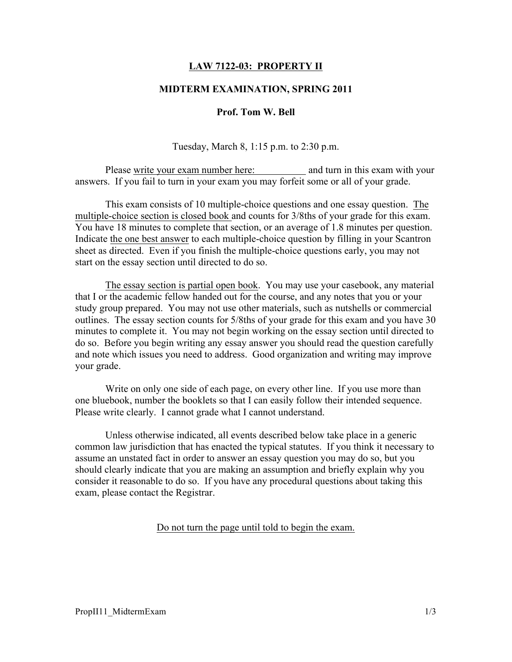# LAW 7122-03: PROPERTY II

### MIDTERM EXAMINATION, SPRING 2011

## Prof. Tom W. Bell

Tuesday, March 8, 1:15 p.m. to 2:30 p.m.

Please write your exam number here: and turn in this exam with your answers. If you fail to turn in your exam you may forfeit some or all of your grade.

This exam consists of 10 multiple-choice questions and one essay question. The multiple-choice section is closed book and counts for 3/8ths of your grade for this exam. You have 18 minutes to complete that section, or an average of 1.8 minutes per question. Indicate the one best answer to each multiple-choice question by filling in your Scantron sheet as directed. Even if you finish the multiple-choice questions early, you may not start on the essay section until directed to do so.

The essay section is partial open book. You may use your casebook, any material that I or the academic fellow handed out for the course, and any notes that you or your study group prepared. You may not use other materials, such as nutshells or commercial outlines. The essay section counts for 5/8ths of your grade for this exam and you have 30 minutes to complete it. You may not begin working on the essay section until directed to do so. Before you begin writing any essay answer you should read the question carefully and note which issues you need to address. Good organization and writing may improve your grade.

Write on only one side of each page, on every other line. If you use more than one bluebook, number the booklets so that I can easily follow their intended sequence. Please write clearly. I cannot grade what I cannot understand.

Unless otherwise indicated, all events described below take place in a generic common law jurisdiction that has enacted the typical statutes. If you think it necessary to assume an unstated fact in order to answer an essay question you may do so, but you should clearly indicate that you are making an assumption and briefly explain why you consider it reasonable to do so. If you have any procedural questions about taking this exam, please contact the Registrar.

Do not turn the page until told to begin the exam.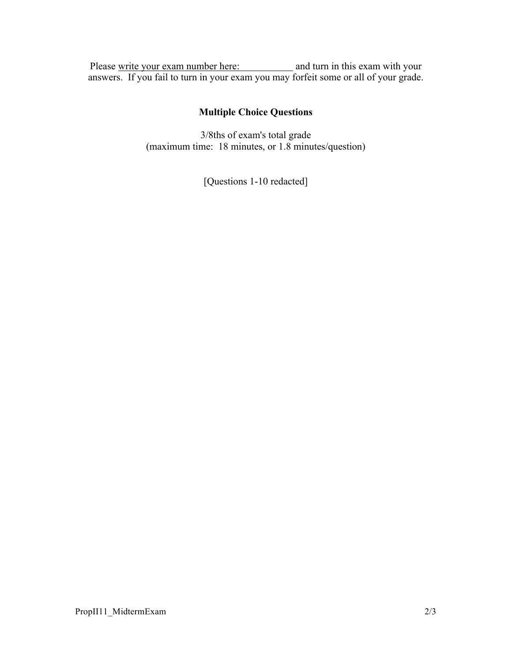Please write your exam number here: and turn in this exam with your answers. If you fail to turn in your exam you may forfeit some or all of your grade.

# Multiple Choice Questions

3/8ths of exam's total grade (maximum time: 18 minutes, or 1.8 minutes/question)

[Questions 1-10 redacted]